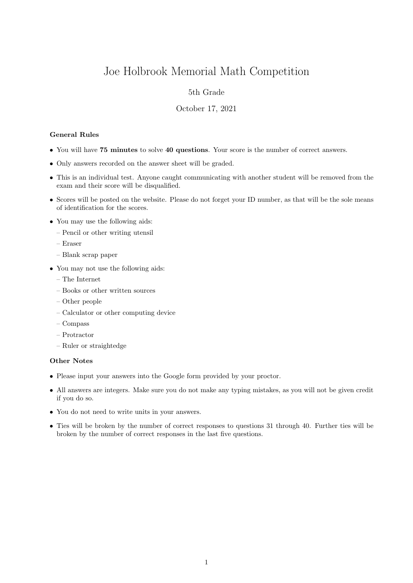# Joe Holbrook Memorial Math Competition

## 5th Grade

#### October 17, 2021

### General Rules

- You will have 75 minutes to solve 40 questions. Your score is the number of correct answers.
- Only answers recorded on the answer sheet will be graded.
- This is an individual test. Anyone caught communicating with another student will be removed from the exam and their score will be disqualified.
- Scores will be posted on the website. Please do not forget your ID number, as that will be the sole means of identification for the scores.
- You may use the following aids:
	- Pencil or other writing utensil
	- Eraser
	- Blank scrap paper
- You may not use the following aids:
	- The Internet
	- Books or other written sources
	- Other people
	- Calculator or other computing device
	- Compass
	- Protractor
	- Ruler or straightedge

#### Other Notes

- Please input your answers into the Google form provided by your proctor.
- All answers are integers. Make sure you do not make any typing mistakes, as you will not be given credit if you do so.
- You do not need to write units in your answers.
- Ties will be broken by the number of correct responses to questions 31 through 40. Further ties will be broken by the number of correct responses in the last five questions.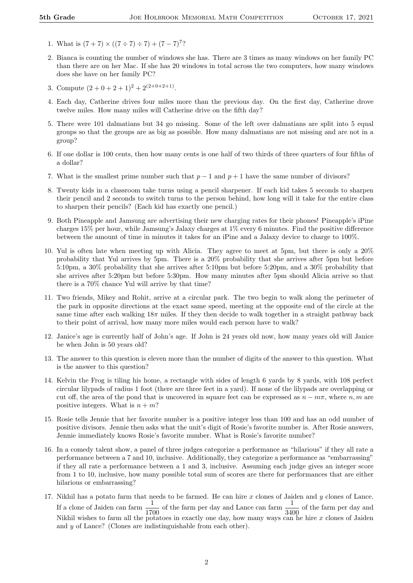- 1. What is  $(7 + 7) \times ((7 \div 7) \div 7) + (7 7)^7$ ?
- 2. Bianca is counting the number of windows she has. There are 3 times as many windows on her family PC than there are on her Mac. If she has 20 windows in total across the two computers, how many windows does she have on her family PC?
- 3. Compute  $(2+0+2+1)^2+2^{(2+0+2+1)}$ .
- 4. Each day, Catherine drives four miles more than the previous day. On the first day, Catherine drove twelve miles. How many miles will Catherine drive on the fifth day?
- 5. There were 101 dalmatians but 34 go missing. Some of the left over dalmatians are split into 5 equal groups so that the groups are as big as possible. How many dalmatians are not missing and are not in a group?
- 6. If one dollar is 100 cents, then how many cents is one half of two thirds of three quarters of four fifths of a dollar?
- 7. What is the smallest prime number such that  $p-1$  and  $p+1$  have the same number of divisors?
- 8. Twenty kids in a classroom take turns using a pencil sharpener. If each kid takes 5 seconds to sharpen their pencil and 2 seconds to switch turns to the person behind, how long will it take for the entire class to sharpen their pencils? (Each kid has exactly one pencil.)
- 9. Both Pineapple and Jamsung are advertising their new charging rates for their phones! Pineapple's iPine charges 15% per hour, while Jamsung's Jalaxy charges at 1% every 6 minutes. Find the positive difference between the amount of time in minutes it takes for an iPine and a Jalaxy device to charge to 100%.
- 10. Yul is often late when meeting up with Alicia. They agree to meet at 5pm, but there is only a 20% probability that Yul arrives by 5pm. There is a 20% probability that she arrives after 5pm but before 5:10pm, a 30% probability that she arrives after 5:10pm but before 5:20pm, and a 30% probability that she arrives after 5:20pm but before 5:30pm. How many minutes after 5pm should Alicia arrive so that there is a 70% chance Yul will arrive by that time?
- 11. Two friends, Mikey and Rohit, arrive at a circular park. The two begin to walk along the perimeter of the park in opposite directions at the exact same speed, meeting at the opposite end of the circle at the same time after each walking  $18\pi$  miles. If they then decide to walk together in a straight pathway back to their point of arrival, how many more miles would each person have to walk?
- 12. Janice's age is currently half of John's age. If John is 24 years old now, how many years old will Janice be when John is 50 years old?
- 13. The answer to this question is eleven more than the number of digits of the answer to this question. What is the answer to this question?
- 14. Kelvin the Frog is tiling his home, a rectangle with sides of length 6 yards by 8 yards, with 108 perfect circular lilypads of radius 1 foot (there are three feet in a yard). If none of the lilypads are overlapping or cut off, the area of the pond that is uncovered in square feet can be expressed as  $n - m\pi$ , where  $n, m$  are positive integers. What is  $n + m$ ?
- 15. Rosie tells Jennie that her favorite number is a positive integer less than 100 and has an odd number of positive divisors. Jennie then asks what the unit's digit of Rosie's favorite number is. After Rosie answers, Jennie immediately knows Rosie's favorite number. What is Rosie's favorite number?
- 16. In a comedy talent show, a panel of three judges categorize a performance as "hilarious" if they all rate a performance between a 7 and 10, inclusive. Additionally, they categorize a performance as "embarrassing" if they all rate a performance between a 1 and 3, inclusive. Assuming each judge gives an integer score from 1 to 10, inclusive, how many possible total sum of scores are there for performances that are either hilarious or embarrassing?
- 17. Nikhil has a potato farm that needs to be farmed. He can hire  $x$  clones of Jaiden and  $y$  clones of Lance. If a clone of Jaiden can farm  $\frac{1}{1700}$  of the farm per day and Lance can farm  $\frac{1}{3400}$  of the farm per day and Nikhil wishes to farm all the potatoes in exactly one day, how many ways can he hire  $x$  clones of Jaiden and y of Lance? (Clones are indistinguishable from each other).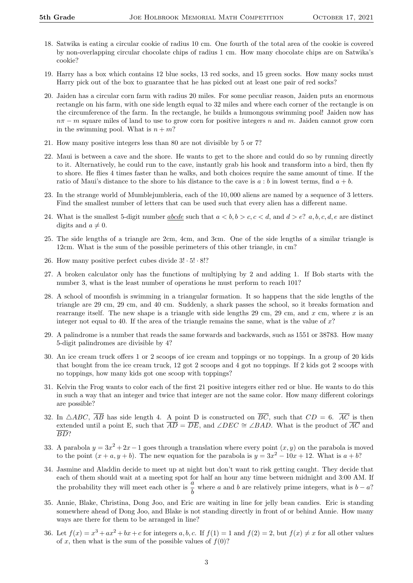- 18. Satwika is eating a circular cookie of radius 10 cm. One fourth of the total area of the cookie is covered by non-overlapping circular chocolate chips of radius 1 cm. How many chocolate chips are on Satwika's cookie?
- 19. Harry has a box which contains 12 blue socks, 13 red socks, and 15 green socks. How many socks must Harry pick out of the box to guarantee that he has picked out at least one pair of red socks?
- 20. Jaiden has a circular corn farm with radius 20 miles. For some peculiar reason, Jaiden puts an enormous rectangle on his farm, with one side length equal to 32 miles and where each corner of the rectangle is on the circumference of the farm. In the rectangle, he builds a humongous swimming pool! Jaiden now has  $n\pi - m$  square miles of land to use to grow corn for positive integers n and m. Jaiden cannot grow corn in the swimming pool. What is  $n + m$ ?
- 21. How many positive integers less than 80 are not divisible by 5 or 7?
- 22. Maui is between a cave and the shore. He wants to get to the shore and could do so by running directly to it. Alternatively, he could run to the cave, instantly grab his hook and transform into a bird, then fly to shore. He flies 4 times faster than he walks, and both choices require the same amount of time. If the ratio of Maui's distance to the shore to his distance to the cave is  $a:b$  in lowest terms, find  $a+b$ .
- 23. In the strange world of Mumblejumbleria, each of the 10, 000 aliens are named by a sequence of 3 letters. Find the smallest number of letters that can be used such that every alien has a different name.
- 24. What is the smallest 5-digit number abcde such that  $a < b, b > c, c < d$ , and  $d > e$ ? a, b, c, d, e are distinct digits and  $a \neq 0$ .
- 25. The side lengths of a triangle are 2cm, 4cm, and 3cm. One of the side lengths of a similar triangle is 12cm. What is the sum of the possible perimeters of this other triangle, in cm?
- 26. How many positive perfect cubes divide  $3! \cdot 5! \cdot 8!$ ?
- 27. A broken calculator only has the functions of multiplying by 2 and adding 1. If Bob starts with the number 3, what is the least number of operations he must perform to reach 101?
- 28. A school of moonfish is swimming in a triangular formation. It so happens that the side lengths of the triangle are 29 cm, 29 cm, and 40 cm. Suddenly, a shark passes the school, so it breaks formation and rearrange itself. The new shape is a triangle with side lengths 29 cm, 29 cm, and  $x$  cm, where  $x$  is an integer not equal to 40. If the area of the triangle remains the same, what is the value of  $x$ ?
- 29. A palindrome is a number that reads the same forwards and backwards, such as 1551 or 38783. How many 5-digit palindromes are divisible by 4?
- 30. An ice cream truck offers 1 or 2 scoops of ice cream and toppings or no toppings. In a group of 20 kids that bought from the ice cream truck, 12 got 2 scoops and 4 got no toppings. If 2 kids got 2 scoops with no toppings, how many kids got one scoop with toppings?
- 31. Kelvin the Frog wants to color each of the first 21 positive integers either red or blue. He wants to do this in such a way that an integer and twice that integer are not the same color. How many different colorings are possible?
- 32. In  $\triangle ABC$ ,  $\overline{AB}$  has side length 4. A point D is constructed on  $\overline{BC}$ , such that  $CD = 6$ .  $\overline{AC}$  is then extended until a point E, such that  $\overline{AD} = \overline{DE}$ , and ∠DEC  $\cong \angle BAD$ . What is the product of  $\overline{AC}$  and BD?
- 33. A parabola  $y = 3x^2 + 2x 1$  goes through a translation where every point  $(x, y)$  on the parabola is moved to the point  $(x + a, y + b)$ . The new equation for the parabola is  $y = 3x^2 - 10x + 12$ . What is  $a + b$ ?
- 34. Jasmine and Aladdin decide to meet up at night but don't want to risk getting caught. They decide that each of them should wait at a meeting spot for half an hour any time between midnight and 3:00 AM. If<br>the probability they will meet each other is  $\frac{a}{b}$  where a and b are relatively prime integers, what is  $b - a$ ?
- 35. Annie, Blake, Christina, Dong Joo, and Eric are waiting in line for jelly bean candies. Eric is standing somewhere ahead of Dong Joo, and Blake is not standing directly in front of or behind Annie. How many ways are there for them to be arranged in line?
- 36. Let  $f(x) = x^3 + ax^2 + bx + c$  for integers a, b, c. If  $f(1) = 1$  and  $f(2) = 2$ , but  $f(x) \neq x$  for all other values of x, then what is the sum of the possible values of  $f(0)$ ?